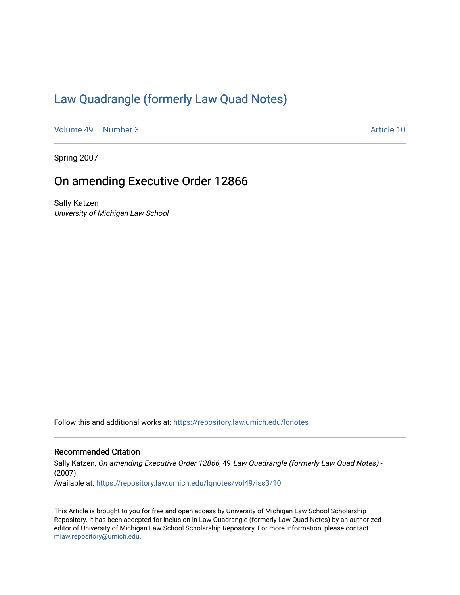# [Law Quadrangle \(formerly Law Quad Notes\)](https://repository.law.umich.edu/lqnotes)

[Volume 49](https://repository.law.umich.edu/lqnotes/vol49) [Number 3](https://repository.law.umich.edu/lqnotes/vol49/iss3) Article 10

Spring 2007

## On amending Executive Order 12866

Sally Katzen University of Michigan Law School

Follow this and additional works at: [https://repository.law.umich.edu/lqnotes](https://repository.law.umich.edu/lqnotes?utm_source=repository.law.umich.edu%2Flqnotes%2Fvol49%2Fiss3%2F10&utm_medium=PDF&utm_campaign=PDFCoverPages) 

#### Recommended Citation

Sally Katzen, On amending Executive Order 12866, 49 Law Quadrangle (formerly Law Quad Notes) - (2007). Available at: [https://repository.law.umich.edu/lqnotes/vol49/iss3/10](https://repository.law.umich.edu/lqnotes/vol49/iss3/10?utm_source=repository.law.umich.edu%2Flqnotes%2Fvol49%2Fiss3%2F10&utm_medium=PDF&utm_campaign=PDFCoverPages)

This Article is brought to you for free and open access by University of Michigan Law School Scholarship Repository. It has been accepted for inclusion in Law Quadrangle (formerly Law Quad Notes) by an authorized editor of University of Michigan Law School Scholarship Repository. For more information, please contact [mlaw.repository@umich.edu.](mailto:mlaw.repository@umich.edu)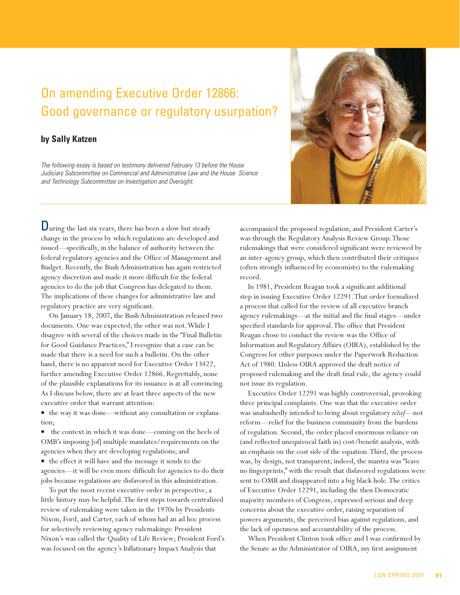# On amending Executive Order 12866: Good governance or regulatory usurpation?

#### **by Sally Katzen**

The following essay is based on testimony delivered February 13 before the House Judiciary Subcommittee on Commercial and Administrative Law and the House Science and Technology Subcommittee on Investigation and Oversight.

During the last six years, there has been a slow but steady change in the process by which regulations are developed and issued—specifically, in the balance of authority between the federal regulatory agencies and the Office of Management and Budget. Recently, the Bush Administration has again restricted agency discretion and made it more difficult for the federal agencies to do the job that Congress has delegated to them. The implications of these changes for administrative law and regulatory practice are very significant.

On January 18, 2007, the Bush Administration released two documents. One was expected; the other was not. While I disagree with several of the choices made in the "Final Bulletin for Good Guidance Practices," I recognize that a case can be made that there is a need for such a bulletin. On the other hand, there is no apparent need for Executive Order 13422, further amending Executive Order 12866. Regrettably, none of the plausible explanations for its issuance is at all convincing. As I discuss below, there are at least three aspects of the new executive order that warrant attention:

v the way it was done—without any consultation or explanation;

• the context in which it was done—coming on the heels of OMB's imposing [of] multiple mandates/requirements on the agencies when they are developing regulations; and

v the effect it will have and the message it sends to the agencies—it will be even more difficult for agencies to do their jobs because regulations are disfavored in this administration.

To put the most recent executive order in perspective, a little history may be helpful. The first steps towards centralized review of rulemaking were taken in the 1970s by Presidents Nixon, Ford, and Carter, each of whom had an ad hoc process for selectively reviewing agency rulemakings: President Nixon's was called the Quality of Life Review; President Ford's was focused on the agency's Inflationary Impact Analysis that

accompanied the proposed regulation; and President Carter's was through the Regulatory Analysis Review Group. Those rulemakings that were considered significant were reviewed by an inter-agency group, which then contributed their critiques (often strongly influenced by economists) to the rulemaking record.

In 1981, President Reagan took a significant additional step in issuing Executive Order 12291. That order formalized a process that called for the review of all executive branch agency rulemakings—at the initial and the final stages—under specified standards for approval. The office that President Reagan chose to conduct the review was the Office of Information and Regulatory Affairs (OIRA), established by the Congress for other purposes under the Paperwork Reduction Act of 1980. Unless OIRA approved the draft notice of proposed rulemaking and the draft final rule, the agency could not issue its regulation.

Executive Order 12291 was highly controversial, provoking three principal complaints. One was that the executive order was unabashedly intended to bring about regulatory *relief*—not reform—relief for the business community from the burdens of regulation. Second, the order placed enormous reliance on (and reflected unequivocal faith in) cost/benefit analysis, with an emphasis on the cost side of the equation. Third, the process was, by design, not transparent; indeed, the mantra was "leave no fingerprints," with the result that disfavored regulations were sent to OMB and disappeared into a big black hole. The critics of Executive Order 12291, including the then Democratic majority members of Congress, expressed serious and deep concerns about the executive order, raising separation of powers arguments, the perceived bias against regulations, and the lack of openness and accountability of the process.

When President Clinton took office and I was confirmed by the Senate as the Administrator of OIRA, my first assignment

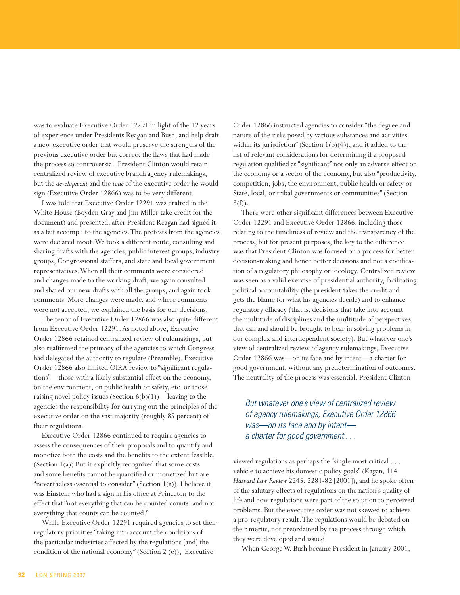was to evaluate Executive Order 12291 in light of the 12 years of experience under Presidents Reagan and Bush, and help draft a new executive order that would preserve the strengths of the previous executive order but correct the flaws that had made the process so controversial. President Clinton would retain centralized review of executive branch agency rulemakings, but the *development* and the *tone* of the executive order he would sign (Executive Order 12866) was to be very different.

I was told that Executive Order 12291 was drafted in the White House (Boyden Gray and Jim Miller take credit for the document) and presented, after President Reagan had signed it, as a fait accompli to the agencies. The protests from the agencies were declared moot. We took a different route, consulting and sharing drafts with the agencies, public interest groups, industry groups, Congressional staffers, and state and local government representatives. When all their comments were considered and changes made to the working draft, we again consulted and shared our new drafts with all the groups, and again took comments. More changes were made, and where comments were not accepted, we explained the basis for our decisions.

The tenor of Executive Order 12866 was also quite different from Executive Order 12291. As noted above, Executive Order 12866 retained centralized review of rulemakings, but also reaffirmed the primacy of the agencies to which Congress had delegated the authority to regulate (Preamble). Executive Order 12866 also limited OIRA review to "significant regulations"—those with a likely substantial effect on the economy, on the environment, on public health or safety, etc. or those raising novel policy issues (Section 6(b)(1))—leaving to the agencies the responsibility for carrying out the principles of the executive order on the vast majority (roughly 85 percent) of their regulations.

Executive Order 12866 continued to require agencies to assess the consequences of their proposals and to quantify and monetize both the costs and the benefits to the extent feasible. (Section 1(a)) But it explicitly recognized that some costs and some benefits cannot be quantified or monetized but are "nevertheless essential to consider" (Section 1(a)). I believe it was Einstein who had a sign in his office at Princeton to the effect that "not everything that can be counted counts, and not everything that counts can be counted."

While Executive Order 12291 required agencies to set their regulatory priorities "taking into account the conditions of the particular industries affected by the regulations [and] the condition of the national economy" (Section 2 (e)), Executive

Order 12866 instructed agencies to consider "the degree and nature of the risks posed by various substances and activities within its jurisdiction" (Section  $1(b)(4)$ ), and it added to the list of relevant considerations for determining if a proposed regulation qualified as "significant" not only an adverse effect on the economy or a sector of the economy, but also "productivity, competition, jobs, the environment, public health or safety or State, local, or tribal governments or communities" (Section  $3(f)$ ).

There were other significant differences between Executive Order 12291 and Executive Order 12866, including those relating to the timeliness of review and the transparency of the process, but for present purposes, the key to the difference was that President Clinton was focused on a process for better decision-making and hence better decisions and not a codification of a regulatory philosophy or ideology. Centralized review was seen as a valid exercise of presidential authority, facilitating political accountability (the president takes the credit and gets the blame for what his agencies decide) and to enhance regulatory efficacy (that is, decisions that take into account the multitude of disciplines and the multitude of perspectives that can and should be brought to bear in solving problems in our complex and interdependent society). But whatever one's view of centralized review of agency rulemakings, Executive Order 12866 was—on its face and by intent—a charter for good government, without any predetermination of outcomes. The neutrality of the process was essential. President Clinton

## But whatever one's view of centralized review of agency rulemakings, Executive Order 12866 was—on its face and by intent a charter for good government . . .

viewed regulations as perhaps the "single most critical . . . vehicle to achieve his domestic policy goals" (Kagan, 114 *Harvard Law Review* 2245, 2281-82 [2001]), and he spoke often of the salutary effects of regulations on the nation's quality of life and how regulations were part of the solution to perceived problems. But the executive order was not skewed to achieve a pro-regulatory result. The regulations would be debated on their merits, not preordained by the process through which they were developed and issued.

When George W. Bush became President in January 2001,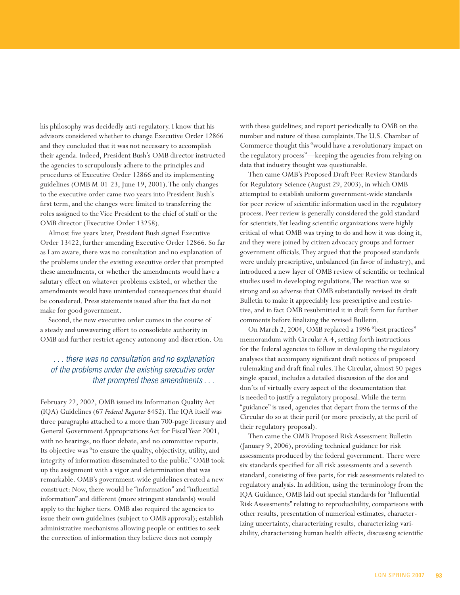his philosophy was decidedly anti-regulatory. I know that his advisors considered whether to change Executive Order 12866 and they concluded that it was not necessary to accomplish their agenda. Indeed, President Bush's OMB director instructed the agencies to scrupulously adhere to the principles and procedures of Executive Order 12866 and its implementing guidelines (OMB M-01-23, June 19, 2001). The only changes to the executive order came two years into President Bush's first term, and the changes were limited to transferring the roles assigned to the Vice President to the chief of staff or the OMB director (Executive Order 13258).

Almost five years later, President Bush signed Executive Order 13422, further amending Executive Order 12866. So far as I am aware, there was no consultation and no explanation of the problems under the existing executive order that prompted these amendments, or whether the amendments would have a salutary effect on whatever problems existed, or whether the amendments would have unintended consequences that should be considered. Press statements issued after the fact do not make for good government.

Second, the new executive order comes in the course of a steady and unwavering effort to consolidate authority in OMB and further restrict agency autonomy and discretion. On

## . . . there was no consultation and no explanation of the problems under the existing executive order that prompted these amendments . . .

February 22, 2002, OMB issued its Information Quality Act (IQA) Guidelines (67 *Federal Register* 8452). The IQA itself was three paragraphs attached to a more than 700-page Treasury and General Government Appropriations Act for Fiscal Year 2001, with no hearings, no floor debate, and no committee reports. Its objective was "to ensure the quality, objectivity, utility, and integrity of information disseminated to the public." OMB took up the assignment with a vigor and determination that was remarkable. OMB's government-wide guidelines created a new construct: Now, there would be "information" and "influential information" and different (more stringent standards) would apply to the higher tiers. OMB also required the agencies to issue their own guidelines (subject to OMB approval); establish administrative mechanisms allowing people or entities to seek the correction of information they believe does not comply

with these guidelines; and report periodically to OMB on the number and nature of these complaints. The U.S. Chamber of Commerce thought this "would have a revolutionary impact on the regulatory process"—keeping the agencies from relying on data that industry thought was questionable.

Then came OMB's Proposed Draft Peer Review Standards for Regulatory Science (August 29, 2003), in which OMB attempted to establish uniform government-wide standards for peer review of scientific information used in the regulatory process. Peer review is generally considered the gold standard for scientists. Yet leading scientific organizations were highly critical of what OMB was trying to do and how it was doing it, and they were joined by citizen advocacy groups and former government officials. They argued that the proposed standards were unduly prescriptive, unbalanced (in favor of industry), and introduced a new layer of OMB review of scientific or technical studies used in developing regulations. The reaction was so strong and so adverse that OMB substantially revised its draft Bulletin to make it appreciably less prescriptive and restrictive, and in fact OMB resubmitted it in draft form for further comments before finalizing the revised Bulletin.

On March 2, 2004, OMB replaced a 1996 "best practices" memorandum with Circular A-4, setting forth instructions for the federal agencies to follow in developing the regulatory analyses that accompany significant draft notices of proposed rulemaking and draft final rules. The Circular, almost 50-pages single spaced, includes a detailed discussion of the dos and don'ts of virtually every aspect of the documentation that is needed to justify a regulatory proposal. While the term "guidance" is used, agencies that depart from the terms of the Circular do so at their peril (or more precisely, at the peril of their regulatory proposal).

Then came the OMB Proposed Risk Assessment Bulletin (January 9, 2006), providing technical guidance for risk assessments produced by the federal government. There were six standards specified for all risk assessments and a seventh standard, consisting of five parts, for risk assessments related to regulatory analysis. In addition, using the terminology from the IQA Guidance, OMB laid out special standards for "Influential Risk Assessments" relating to reproducibility, comparisons with other results, presentation of numerical estimates, characterizing uncertainty, characterizing results, characterizing variability, characterizing human health effects, discussing scientific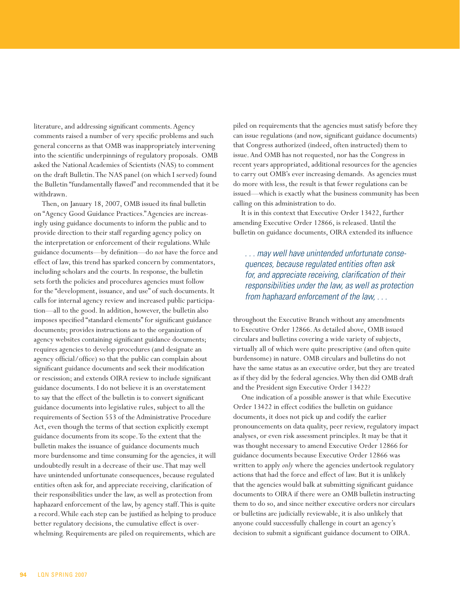literature, and addressing significant comments. Agency comments raised a number of very specific problems and such general concerns as that OMB was inappropriately intervening into the scientific underpinnings of regulatory proposals. OMB asked the National Academies of Scientists (NAS) to comment on the draft Bulletin. The NAS panel (on which I served) found the Bulletin "fundamentally flawed" and recommended that it be withdrawn.

Then, on January 18, 2007, OMB issued its final bulletin on "Agency Good Guidance Practices." Agencies are increasingly using guidance documents to inform the public and to provide direction to their staff regarding agency policy on the interpretation or enforcement of their regulations. While guidance documents—by definition—do *not* have the force and effect of law, this trend has sparked concern by commentators, including scholars and the courts. In response, the bulletin sets forth the policies and procedures agencies must follow for the "development, issuance, and use" of such documents. It calls for internal agency review and increased public participation—all to the good. In addition, however, the bulletin also imposes specified "standard elements" for significant guidance documents; provides instructions as to the organization of agency websites containing significant guidance documents; requires agencies to develop procedures (and designate an agency official/office) so that the public can complain about significant guidance documents and seek their modification or rescission; and extends OIRA review to include significant guidance documents. I do not believe it is an overstatement to say that the effect of the bulletin is to convert significant guidance documents into legislative rules, subject to all the requirements of Section 553 of the Administrative Procedure Act, even though the terms of that section explicitly exempt guidance documents from its scope. To the extent that the bulletin makes the issuance of guidance documents much more burdensome and time consuming for the agencies, it will undoubtedly result in a decrease of their use. That may well have unintended unfortunate consequences, because regulated entities often ask for, and appreciate receiving, clarification of their responsibilities under the law, as well as protection from haphazard enforcement of the law, by agency staff. This is quite a record. While each step can be justified as helping to produce better regulatory decisions, the cumulative effect is overwhelming. Requirements are piled on requirements, which are

piled on requirements that the agencies must satisfy before they can issue regulations (and now, significant guidance documents) that Congress authorized (indeed, often instructed) them to issue. And OMB has not requested, nor has the Congress in recent years appropriated, additional resources for the agencies to carry out OMB's ever increasing demands. As agencies must do more with less, the result is that fewer regulations can be issued—which is exactly what the business community has been calling on this administration to do.

It is in this context that Executive Order 13422, further amending Executive Order 12866, is released. Until the bulletin on guidance documents, OIRA extended its influence

. . . may well have unintended unfortunate consequences, because regulated entities often ask for, and appreciate receiving, clarification of their responsibilities under the law, as well as protection from haphazard enforcement of the law, . . .

throughout the Executive Branch without any amendments to Executive Order 12866. As detailed above, OMB issued circulars and bulletins covering a wide variety of subjects, virtually all of which were quite prescriptive (and often quite burdensome) in nature. OMB circulars and bulletins do not have the same status as an executive order, but they are treated as if they did by the federal agencies. Why then did OMB draft and the President sign Executive Order 13422?

One indication of a possible answer is that while Executive Order 13422 in effect codifies the bulletin on guidance documents, it does not pick up and codify the earlier pronouncements on data quality, peer review, regulatory impact analyses, or even risk assessment principles. It may be that it was thought necessary to amend Executive Order 12866 for guidance documents because Executive Order 12866 was written to apply *only* where the agencies undertook regulatory actions that had the force and effect of law. But it is unlikely that the agencies would balk at submitting significant guidance documents to OIRA if there were an OMB bulletin instructing them to do so, and since neither executive orders nor circulars or bulletins are judicially reviewable, it is also unlikely that anyone could successfully challenge in court an agency's decision to submit a significant guidance document to OIRA.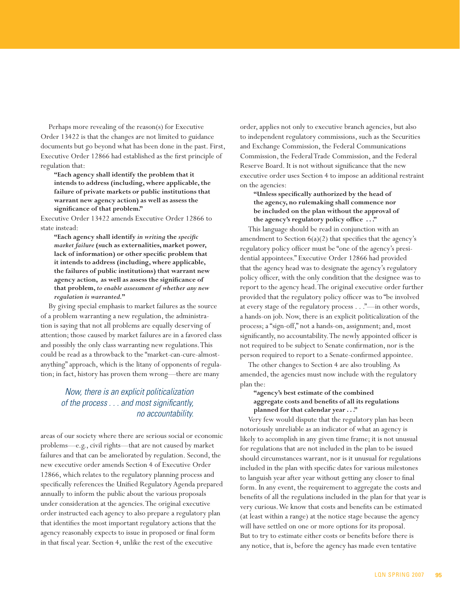Perhaps more revealing of the reason(s) for Executive Order 13422 is that the changes are not limited to guidance documents but go beyond what has been done in the past. First, Executive Order 12866 had established as the first principle of regulation that:

**"Each agency shall identify the problem that it intends to address (including, where applicable, the failure of private markets or public institutions that warrant new agency action) as well as assess the significance of that problem."**

Executive Order 13422 amends Executive Order 12866 to state instead:

**"Each agency shall identify** *in writing* **the** *specific market failure* **(such as externalities, market power, lack of information) or other specific problem that it intends to address (including, where applicable, the failures of public institutions) that warrant new agency action, as well as assess the significance of that problem,** *to enable assessment of whether any new regulation is warranted.***"**

By giving special emphasis to market failures as the source of a problem warranting a new regulation, the administration is saying that not all problems are equally deserving of attention; those caused by market failures are in a favored class and possibly the only class warranting new regulations. This could be read as a throwback to the "market-can-cure-almostanything" approach, which is the litany of opponents of regulation; in fact, history has proven them wrong—there are many

#### Now, there is an explicit politicalization of the process . . . and most significantly, no accountability.

areas of our society where there are serious social or economic problems—e.g., civil rights—that are not caused by market failures and that can be ameliorated by regulation. Second, the new executive order amends Section 4 of Executive Order 12866, which relates to the regulatory planning process and specifically references the Unified Regulatory Agenda prepared annually to inform the public about the various proposals under consideration at the agencies. The original executive order instructed each agency to also prepare a regulatory plan that identifies the most important regulatory actions that the agency reasonably expects to issue in proposed or final form in that fiscal year. Section 4, unlike the rest of the executive

order, applies not only to executive branch agencies, but also to independent regulatory commissions, such as the Securities and Exchange Commission, the Federal Communications Commission, the Federal Trade Commission, and the Federal Reserve Board. It is not without significance that the new executive order uses Section 4 to impose an additional restraint on the agencies:

#### **"Unless specifically authorized by the head of the agency, no rulemaking shall commence nor be included on the plan without the approval of the agency's regulatory policy office . . ."**

This language should be read in conjunction with an amendment to Section  $6(a)(2)$  that specifies that the agency's regulatory policy officer must be "one of the agency's presidential appointees." Executive Order 12866 had provided that the agency head was to designate the agency's regulatory policy officer, with the only condition that the designee was to report to the agency head. The original executive order further provided that the regulatory policy officer was to "be involved at every stage of the regulatory process . . ."—in other words, a hands-on job. Now, there is an explicit politicalization of the process; a "sign-off," not a hands-on, assignment; and, most significantly, no accountability. The newly appointed officer is not required to be subject to Senate confirmation, nor is the person required to report to a Senate-confirmed appointee.

The other changes to Section 4 are also troubling. As amended, the agencies must now include with the regulatory plan the:

#### **"agency's best estimate of the combined aggregate costs and benefits of all its regulations planned for that calendar year . . ."**

Very few would dispute that the regulatory plan has been notoriously unreliable as an indicator of what an agency is likely to accomplish in any given time frame; it is not unusual for regulations that are not included in the plan to be issued should circumstances warrant, nor is it unusual for regulations included in the plan with specific dates for various milestones to languish year after year without getting any closer to final form. In any event, the requirement to aggregate the costs and benefits of all the regulations included in the plan for that year is very curious. We know that costs and benefits can be estimated (at least within a range) at the notice stage because the agency will have settled on one or more options for its proposal. But to try to estimate either costs or benefits before there is any notice, that is, before the agency has made even tentative